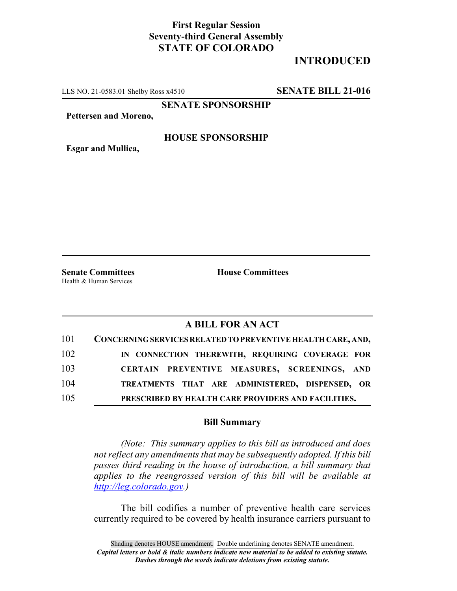## **First Regular Session Seventy-third General Assembly STATE OF COLORADO**

# **INTRODUCED**

LLS NO. 21-0583.01 Shelby Ross x4510 **SENATE BILL 21-016**

**SENATE SPONSORSHIP**

**Pettersen and Moreno,**

#### **HOUSE SPONSORSHIP**

**Esgar and Mullica,**

Health & Human Services

**Senate Committees House Committees** 

### **A BILL FOR AN ACT**

| 101 | CONCERNING SERVICES RELATED TO PREVENTIVE HEALTH CARE, AND, |
|-----|-------------------------------------------------------------|
| 102 | IN CONNECTION THEREWITH, REQUIRING COVERAGE FOR             |
| 103 | CERTAIN PREVENTIVE MEASURES, SCREENINGS, AND                |
| 104 | TREATMENTS THAT ARE ADMINISTERED, DISPENSED, OR             |
| 105 | PRESCRIBED BY HEALTH CARE PROVIDERS AND FACILITIES.         |

#### **Bill Summary**

*(Note: This summary applies to this bill as introduced and does not reflect any amendments that may be subsequently adopted. If this bill passes third reading in the house of introduction, a bill summary that applies to the reengrossed version of this bill will be available at http://leg.colorado.gov.)*

The bill codifies a number of preventive health care services currently required to be covered by health insurance carriers pursuant to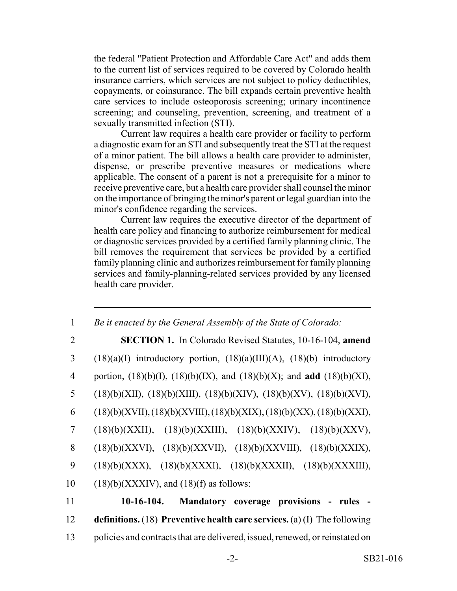the federal "Patient Protection and Affordable Care Act" and adds them to the current list of services required to be covered by Colorado health insurance carriers, which services are not subject to policy deductibles, copayments, or coinsurance. The bill expands certain preventive health care services to include osteoporosis screening; urinary incontinence screening; and counseling, prevention, screening, and treatment of a sexually transmitted infection (STI).

Current law requires a health care provider or facility to perform a diagnostic exam for an STI and subsequently treat the STI at the request of a minor patient. The bill allows a health care provider to administer, dispense, or prescribe preventive measures or medications where applicable. The consent of a parent is not a prerequisite for a minor to receive preventive care, but a health care provider shall counsel the minor on the importance of bringing the minor's parent or legal guardian into the minor's confidence regarding the services.

Current law requires the executive director of the department of health care policy and financing to authorize reimbursement for medical or diagnostic services provided by a certified family planning clinic. The bill removes the requirement that services be provided by a certified family planning clinic and authorizes reimbursement for family planning services and family-planning-related services provided by any licensed health care provider.

| 1  | Be it enacted by the General Assembly of the State of Colorado:                           |
|----|-------------------------------------------------------------------------------------------|
| 2  | <b>SECTION 1.</b> In Colorado Revised Statutes, 10-16-104, amend                          |
| 3  | $(18)(a)(I)$ introductory portion, $(18)(a)(III)(A)$ , $(18)(b)$ introductory             |
| 4  | portion, $(18)(b)(I)$ , $(18)(b)(IX)$ , and $(18)(b)(X)$ ; and <b>add</b> $(18)(b)(XI)$ , |
| 5  | $(18)(b)(XII), (18)(b)(XIII), (18)(b)(XIV), (18)(b)(XV), (18)(b)(XVI),$                   |
| 6  | $(18)(b)(XVII), (18)(b)(XVIII), (18)(b)(XIX), (18)(b)(XX), (18)(b)(XXI),$                 |
| 7  | $(18)(b)(XXII), (18)(b)(XXIII), (18)(b)(XXIV), (18)(b)(XXXV),$                            |
| 8  | $(18)(b)(XXX)$ , $(18)(b)(XXX)$ , $(18)(b)(XXX)$ , $(18)(b)(XXX)$ ,                       |
| 9  | $(18)(b)(XXX), (18)(b)(XXXI), (18)(b)(XXXII), (18)(b)(XXXIII),$                           |
| 10 | $(18)(b)(XXXIV)$ , and $(18)(f)$ as follows:                                              |
| 11 | 10-16-104. Mandatory coverage provisions - rules -                                        |
| 12 | definitions. $(18)$ Preventive health care services. $(a)$ (I) The following              |

13 policies and contracts that are delivered, issued, renewed, or reinstated on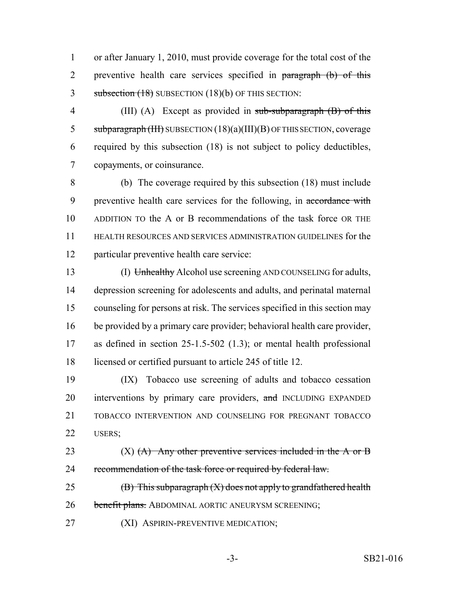1 or after January 1, 2010, must provide coverage for the total cost of the 2 preventive health care services specified in paragraph (b) of this 3 subsection (18) SUBSECTION (18)(b) OF THIS SECTION:

4 (III) (A) Except as provided in sub-subparagraph (B) of this 5 subparagraph (III) SUBSECTION  $(18)(a)(III)(B)$  OF THIS SECTION, coverage 6 required by this subsection (18) is not subject to policy deductibles, 7 copayments, or coinsurance.

 (b) The coverage required by this subsection (18) must include 9 preventive health care services for the following, in accordance with ADDITION TO the A or B recommendations of the task force OR THE HEALTH RESOURCES AND SERVICES ADMINISTRATION GUIDELINES for the particular preventive health care service:

13 (I) Unhealthy Alcohol use screening AND COUNSELING for adults, depression screening for adolescents and adults, and perinatal maternal counseling for persons at risk. The services specified in this section may be provided by a primary care provider; behavioral health care provider, as defined in section 25-1.5-502 (1.3); or mental health professional 18 licensed or certified pursuant to article 245 of title 12.

19 (IX) Tobacco use screening of adults and tobacco cessation 20 interventions by primary care providers, and INCLUDING EXPANDED 21 TOBACCO INTERVENTION AND COUNSELING FOR PREGNANT TOBACCO 22 USERS;

23  $(X)$   $(A)$  Any other preventive services included in the A or B 24 recommendation of the task force or required by federal law.

25  $(B)$  This subparagraph  $(X)$  does not apply to grandfathered health 26 benefit plans. ABDOMINAL AORTIC ANEURYSM SCREENING;

27 **(XI) ASPIRIN-PREVENTIVE MEDICATION;**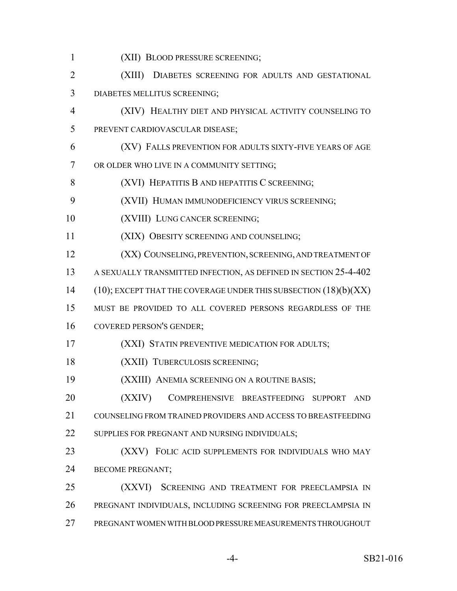(XII) BLOOD PRESSURE SCREENING; (XIII) DIABETES SCREENING FOR ADULTS AND GESTATIONAL DIABETES MELLITUS SCREENING; (XIV) HEALTHY DIET AND PHYSICAL ACTIVITY COUNSELING TO PREVENT CARDIOVASCULAR DISEASE; (XV) FALLS PREVENTION FOR ADULTS SIXTY-FIVE YEARS OF AGE OR OLDER WHO LIVE IN A COMMUNITY SETTING; **(XVI) HEPATITIS B AND HEPATITIS C SCREENING;**  (XVII) HUMAN IMMUNODEFICIENCY VIRUS SCREENING; 10 (XVIII) LUNG CANCER SCREENING; (XIX) OBESITY SCREENING AND COUNSELING; **(XX) COUNSELING, PREVENTION, SCREENING, AND TREATMENT OF**  A SEXUALLY TRANSMITTED INFECTION, AS DEFINED IN SECTION 25-4-402 14 (10); EXCEPT THAT THE COVERAGE UNDER THIS SUBSECTION (18)(b)(XX) MUST BE PROVIDED TO ALL COVERED PERSONS REGARDLESS OF THE COVERED PERSON'S GENDER; **(XXI) STATIN PREVENTIVE MEDICATION FOR ADULTS;** 18 (XXII) TUBERCULOSIS SCREENING; (XXIII) ANEMIA SCREENING ON A ROUTINE BASIS; (XXIV) COMPREHENSIVE BREASTFEEDING SUPPORT AND COUNSELING FROM TRAINED PROVIDERS AND ACCESS TO BREASTFEEDING 22 SUPPLIES FOR PREGNANT AND NURSING INDIVIDUALS; **(XXV)** FOLIC ACID SUPPLEMENTS FOR INDIVIDUALS WHO MAY BECOME PREGNANT; (XXVI) SCREENING AND TREATMENT FOR PREECLAMPSIA IN PREGNANT INDIVIDUALS, INCLUDING SCREENING FOR PREECLAMPSIA IN PREGNANT WOMEN WITH BLOOD PRESSURE MEASUREMENTS THROUGHOUT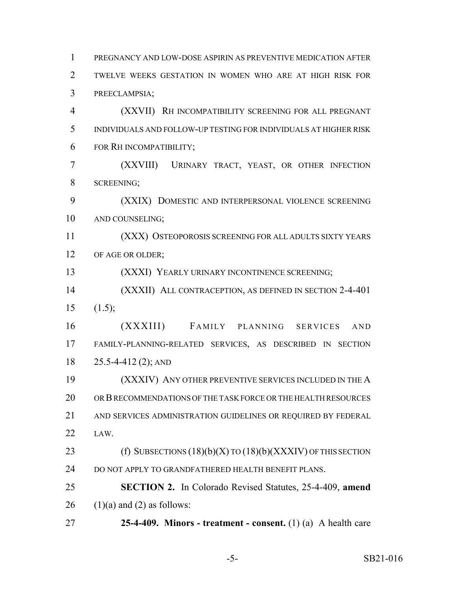PREGNANCY AND LOW-DOSE ASPIRIN AS PREVENTIVE MEDICATION AFTER TWELVE WEEKS GESTATION IN WOMEN WHO ARE AT HIGH RISK FOR PREECLAMPSIA; (XXVII) RH INCOMPATIBILITY SCREENING FOR ALL PREGNANT INDIVIDUALS AND FOLLOW-UP TESTING FOR INDIVIDUALS AT HIGHER RISK FOR RH INCOMPATIBILITY; (XXVIII) URINARY TRACT, YEAST, OR OTHER INFECTION SCREENING; (XXIX) DOMESTIC AND INTERPERSONAL VIOLENCE SCREENING AND COUNSELING; (XXX) OSTEOPOROSIS SCREENING FOR ALL ADULTS SIXTY YEARS 12 OF AGE OR OLDER; (XXXI) YEARLY URINARY INCONTINENCE SCREENING; (XXXII) ALL CONTRACEPTION, AS DEFINED IN SECTION 2-4-401  $15 \t(1.5);$  (XXXIII) FAMILY PLANNING SERVICES AND FAMILY-PLANNING-RELATED SERVICES, AS DESCRIBED IN SECTION 25.5-4-412 (2); AND (XXXIV) ANY OTHER PREVENTIVE SERVICES INCLUDED IN THE A OR B RECOMMENDATIONS OF THE TASK FORCE OR THE HEALTH RESOURCES AND SERVICES ADMINISTRATION GUIDELINES OR REQUIRED BY FEDERAL LAW. 23 (f) SUBSECTIONS (18)(b)(X) TO (18)(b)(XXXIV) OF THIS SECTION 24 DO NOT APPLY TO GRANDFATHERED HEALTH BENEFIT PLANS. **SECTION 2.** In Colorado Revised Statutes, 25-4-409, **amend** 26 (1)(a) and (2) as follows: **25-4-409. Minors - treatment - consent.** (1) (a) A health care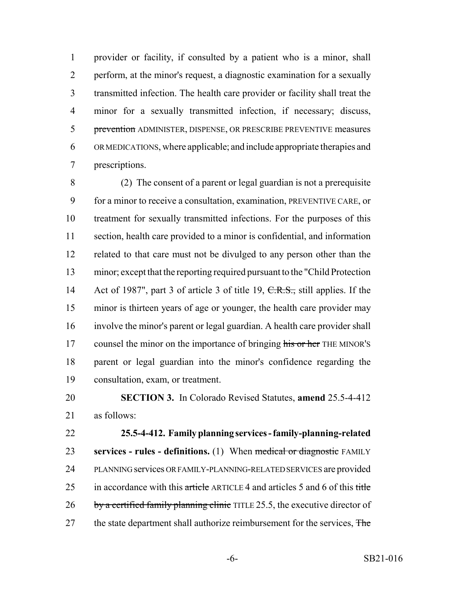provider or facility, if consulted by a patient who is a minor, shall perform, at the minor's request, a diagnostic examination for a sexually transmitted infection. The health care provider or facility shall treat the minor for a sexually transmitted infection, if necessary; discuss, 5 prevention ADMINISTER, DISPENSE, OR PRESCRIBE PREVENTIVE measures OR MEDICATIONS, where applicable; and include appropriate therapies and prescriptions.

 (2) The consent of a parent or legal guardian is not a prerequisite for a minor to receive a consultation, examination, PREVENTIVE CARE, or treatment for sexually transmitted infections. For the purposes of this section, health care provided to a minor is confidential, and information related to that care must not be divulged to any person other than the minor; except that the reporting required pursuant to the "Child Protection 14 Act of 1987", part 3 of article 3 of title 19, C.R.S., still applies. If the minor is thirteen years of age or younger, the health care provider may involve the minor's parent or legal guardian. A health care provider shall 17 counsel the minor on the importance of bringing his or her THE MINOR'S parent or legal guardian into the minor's confidence regarding the consultation, exam, or treatment.

 **SECTION 3.** In Colorado Revised Statutes, **amend** 25.5-4-412 as follows:

 **25.5-4-412. Family planning services - family-planning-related services - rules - definitions.** (1) When medical or diagnostic FAMILY PLANNING services OR FAMILY-PLANNING-RELATED SERVICES are provided 25 in accordance with this  $\frac{artele}{\text{article}}$  ARTICLE 4 and articles 5 and 6 of this title 26 by a certified family planning clinic TITLE 25.5, the executive director of 27 the state department shall authorize reimbursement for the services, The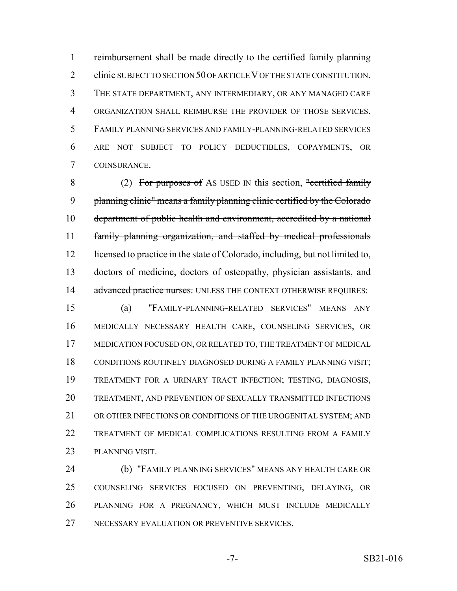reimbursement shall be made directly to the certified family planning 2 clinic SUBJECT TO SECTION 50 OF ARTICLE V OF THE STATE CONSTITUTION. THE STATE DEPARTMENT, ANY INTERMEDIARY, OR ANY MANAGED CARE ORGANIZATION SHALL REIMBURSE THE PROVIDER OF THOSE SERVICES. FAMILY PLANNING SERVICES AND FAMILY-PLANNING-RELATED SERVICES ARE NOT SUBJECT TO POLICY DEDUCTIBLES, COPAYMENTS, OR COINSURANCE.

8 (2) For purposes of AS USED IN this section, "certified family planning clinic" means a family planning clinic certified by the Colorado department of public health and environment, accredited by a national family planning organization, and staffed by medical professionals 12 licensed to practice in the state of Colorado, including, but not limited to, doctors of medicine, doctors of osteopathy, physician assistants, and 14 advanced practice nurses. UNLESS THE CONTEXT OTHERWISE REQUIRES:

 (a) "FAMILY-PLANNING-RELATED SERVICES" MEANS ANY MEDICALLY NECESSARY HEALTH CARE, COUNSELING SERVICES, OR MEDICATION FOCUSED ON, OR RELATED TO, THE TREATMENT OF MEDICAL CONDITIONS ROUTINELY DIAGNOSED DURING A FAMILY PLANNING VISIT; TREATMENT FOR A URINARY TRACT INFECTION; TESTING, DIAGNOSIS, TREATMENT, AND PREVENTION OF SEXUALLY TRANSMITTED INFECTIONS OR OTHER INFECTIONS OR CONDITIONS OF THE UROGENITAL SYSTEM; AND TREATMENT OF MEDICAL COMPLICATIONS RESULTING FROM A FAMILY PLANNING VISIT.

 (b) "FAMILY PLANNING SERVICES" MEANS ANY HEALTH CARE OR COUNSELING SERVICES FOCUSED ON PREVENTING, DELAYING, OR PLANNING FOR A PREGNANCY, WHICH MUST INCLUDE MEDICALLY NECESSARY EVALUATION OR PREVENTIVE SERVICES.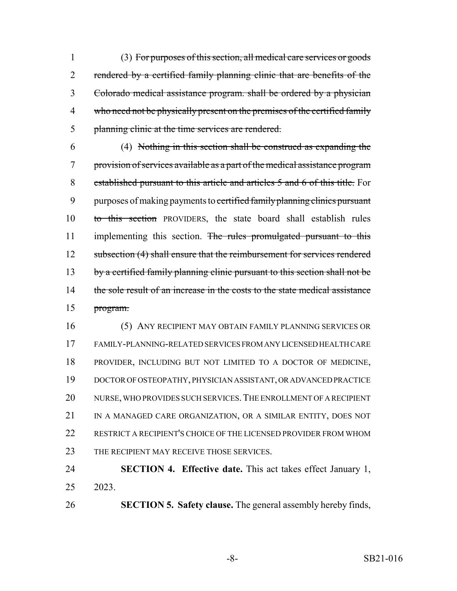(3) For purposes of this section, all medical care services or goods 2 rendered by a certified family planning clinic that are benefits of the Colorado medical assistance program. shall be ordered by a physician 4 who need not be physically present on the premises of the certified family planning clinic at the time services are rendered.

 (4) Nothing in this section shall be construed as expanding the provision of services available as a part of the medical assistance program established pursuant to this article and articles 5 and 6 of this title. For 9 purposes of making payments to certified family planning clinics pursuant to this section PROVIDERS, the state board shall establish rules 11 implementing this section. The rules promulgated pursuant to this 12 subsection (4) shall ensure that the reimbursement for services rendered 13 by a certified family planning clinic pursuant to this section shall not be 14 the sole result of an increase in the costs to the state medical assistance program.

 (5) ANY RECIPIENT MAY OBTAIN FAMILY PLANNING SERVICES OR FAMILY-PLANNING-RELATED SERVICES FROM ANY LICENSED HEALTH CARE PROVIDER, INCLUDING BUT NOT LIMITED TO A DOCTOR OF MEDICINE, DOCTOR OF OSTEOPATHY, PHYSICIAN ASSISTANT, OR ADVANCED PRACTICE NURSE, WHO PROVIDES SUCH SERVICES.THE ENROLLMENT OF A RECIPIENT 21 IN A MANAGED CARE ORGANIZATION, OR A SIMILAR ENTITY, DOES NOT RESTRICT A RECIPIENT'S CHOICE OF THE LICENSED PROVIDER FROM WHOM 23 THE RECIPIENT MAY RECEIVE THOSE SERVICES.

 **SECTION 4. Effective date.** This act takes effect January 1, 2023.

**SECTION 5. Safety clause.** The general assembly hereby finds,